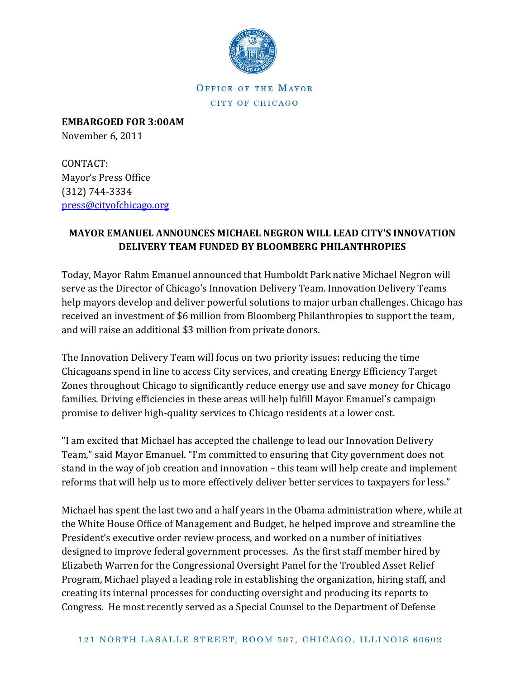

OFFICE OF THE MAYOR CITY OF CHICAGO

**EMBARGOED FOR 3:00AM** November 6, 2011

CONTACT: Mayor's Press Office (312) 744-3334 [press@cityofchicago.org](https://connect.cityofchicago.org/owa/,DanaInfo=basicauth.cityofchicago.local,SSL+redir.aspx?C=d118d6fa8033478a944c73bdeeec7a6a&URL=mailto%3apress%40cityofchicago.org)

## **MAYOR EMANUEL ANNOUNCES MICHAEL NEGRON WILL LEAD CITY'S INNOVATION DELIVERY TEAM FUNDED BY BLOOMBERG PHILANTHROPIES**

Today, Mayor Rahm Emanuel announced that Humboldt Park native Michael Negron will serve as the Director of Chicago's Innovation Delivery Team. Innovation Delivery Teams help mayors develop and deliver powerful solutions to major urban challenges. Chicago has received an investment of \$6 million from Bloomberg Philanthropies to support the team, and will raise an additional \$3 million from private donors.

The Innovation Delivery Team will focus on two priority issues: reducing the time Chicagoans spend in line to access City services, and creating Energy Efficiency Target Zones throughout Chicago to significantly reduce energy use and save money for Chicago families. Driving efficiencies in these areas will help fulfill Mayor Emanuel's campaign promise to deliver high-quality services to Chicago residents at a lower cost.

"I am excited that Michael has accepted the challenge to lead our Innovation Delivery Team," said Mayor Emanuel. "I'm committed to ensuring that City government does not stand in the way of job creation and innovation – this team will help create and implement reforms that will help us to more effectively deliver better services to taxpayers for less."

Michael has spent the last two and a half years in the Obama administration where, while at the White House Office of Management and Budget, he helped improve and streamline the President's executive order review process, and worked on a number of initiatives designed to improve federal government processes. As the first staff member hired by Elizabeth Warren for the Congressional Oversight Panel for the Troubled Asset Relief Program, Michael played a leading role in establishing the organization, hiring staff, and creating its internal processes for conducting oversight and producing its reports to Congress. He most recently served as a Special Counsel to the Department of Defense